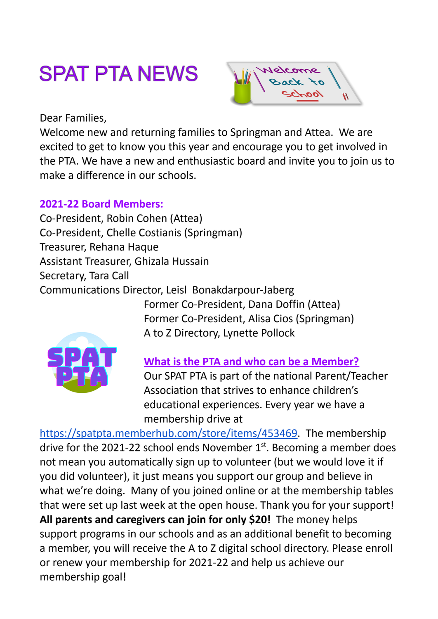## **SPAT PTA NEWS**



Dear Families,

Welcome new and returning families to Springman and Attea. We are excited to get to know you this year and encourage you to get involved in the PTA. We have a new and enthusiastic board and invite you to join us to make a difference in our schools.

## **2021-22 Board Members:**

Co-President, Robin Cohen (Attea) Co-President, Chelle Costianis (Springman) Treasurer, Rehana Haque Assistant Treasurer, Ghizala Hussain Secretary, Tara Call Communications Director, Leisl Bonakdarpour-Jaberg

Former Co-President, Dana Doffin (Attea) Former Co-President, Alisa Cios (Springman) A to Z Directory, Lynette Pollock

**What is the PTA and who can be a Member?** Our SPAT PTA is part of the national Parent/Teacher Association that strives to enhance children's educational experiences. Every year we have a membership drive at

[https://spatpta.memberhub.com/store/items/453469.](https://spatpta.memberhub.com/store/items/453469) The membership drive for the 2021-22 school ends November  $1<sup>st</sup>$ . Becoming a member does not mean you automatically sign up to volunteer (but we would love it if you did volunteer), it just means you support our group and believe in what we're doing. Many of you joined online or at the membership tables that were set up last week at the open house. Thank you for your support! **All parents and caregivers can join for only \$20!** The money helps support programs in our schools and as an additional benefit to becoming a member, you will receive the A to Z digital school directory. Please enroll or renew your membership for 2021-22 and help us achieve our membership goal!